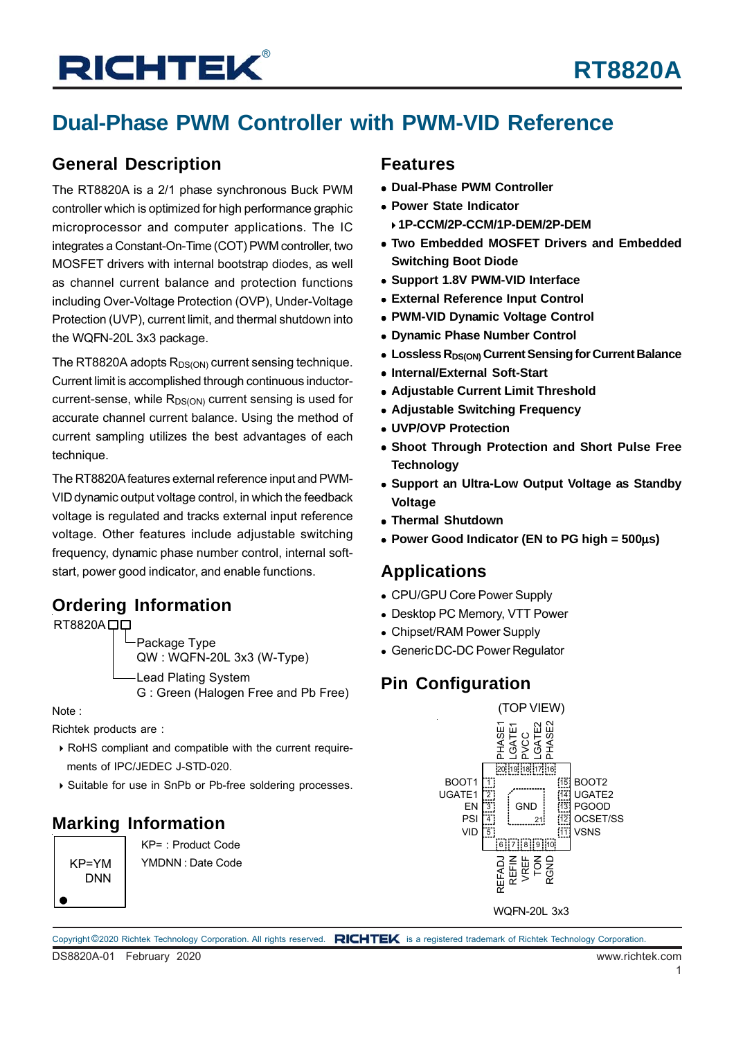## **Dual-Phase PWM Controller with PWM-VID Reference**

### **General Description**

The RT8820A is a 2/1 phase synchronous Buck PWM controller which is optimized for high performance graphic microprocessor and computer applications. The IC integrates a Constant-On-Time (COT) PWM controller, two MOSFET drivers with internal bootstrap diodes, as well as channel current balance and protection functions including Over-Voltage Protection (OVP), Under-Voltage Protection (UVP), current limit, and thermal shutdown into the WQFN-20L 3x3 package.

The RT8820A adopts  $R_{DS(ON)}$  current sensing technique. Current limit is accomplished through continuous inductorcurrent-sense, while  $R_{DS(ON)}$  current sensing is used for accurate channel current balance. Using the method of current sampling utilizes the best advantages of each technique.

The RT8820A features external reference input and PWM-VID dynamic output voltage control, in which the feedback voltage is regulated and tracks external input reference voltage. Other features include adjustable switching frequency, dynamic phase number control, internal softstart, power good indicator, and enable functions.

### **Ordering Information**

RT8820ADD

Package Type QW : WQFN-20L 3x3 (W-Type) Lead Plating System G : Green (Halogen Free and Pb Free)

Note :

Richtek products are :

- RoHS compliant and compatible with the current require ments of IPC/JEDEC J-STD-020.
- Suitable for use in SnPb or Pb-free soldering processes.

### **Marking Information**

DNN

KP= : Product Code KP=YM YMDNN : Date Code

### **Features**

- **Dual-Phase PWM Controller**
- **Power State Indicator**
	- **1P-CCM/2P-CCM/1P-DEM/2P-DEM**
- **Two Embedded MOSFET Drivers and Embedded Switching Boot Diode**
- **Support 1.8V PWM-VID Interface**
- **External Reference Input Control**
- **PWM-VID Dynamic Voltage Control**
- **Dynamic Phase Number Control**
- **Lossless R<sub>DS(ON)</sub> Current Sensing for Current Balance**
- **Internal/External Soft-Start**
- **Adjustable Current Limit Threshold**
- **Adjustable Switching Frequency**
- **UVP/OVP Protection**
- **Shoot Through Protection and Short Pulse Free Technology**
- **Support an Ultra-Low Output Voltage as Standby Voltage**
- **Thermal Shutdown**
- **Power Good Indicator (EN to PG high = 500**μ**s)**

### **Applications**

- CPU/GPU Core Power Supply
- Desktop PC Memory, VTT Power
- Chipset/RAM Power Supply
- Generic DC-DC Power Regulator

### **Pin Configuration**



WQFN-20L 3x3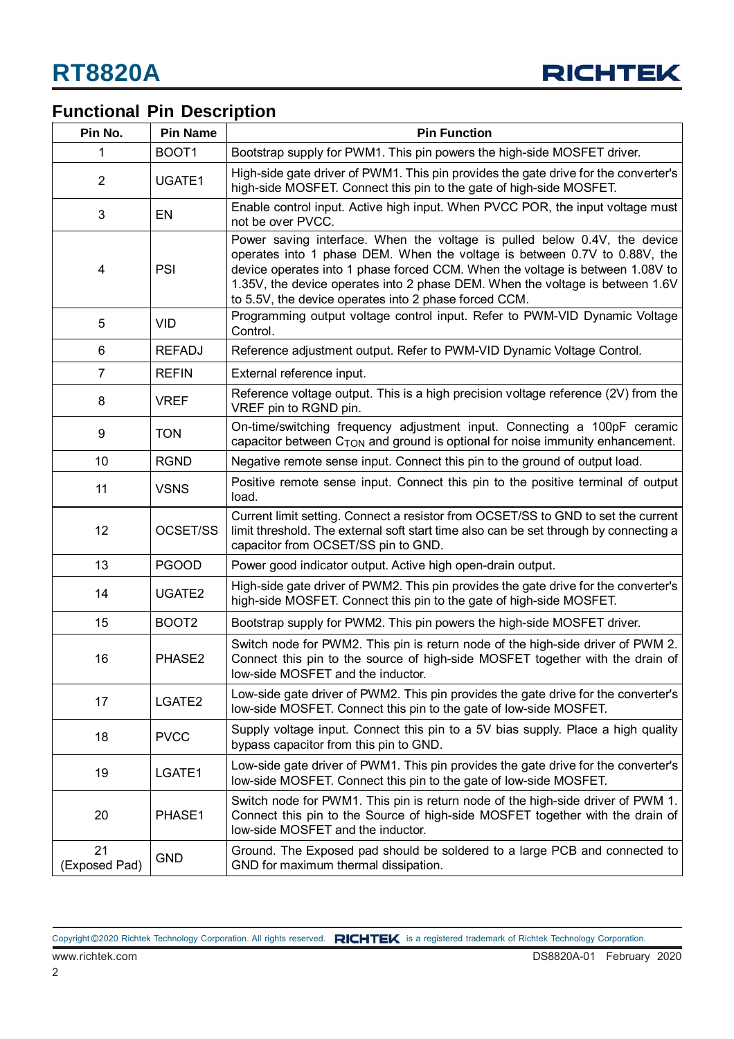

## **Functional Pin Description**

| Pin No.             | <b>Pin Name</b>                                                                                                                                                      | <b>Pin Function</b>                                                                                                                                                                                                                                                                                                                                                               |  |  |
|---------------------|----------------------------------------------------------------------------------------------------------------------------------------------------------------------|-----------------------------------------------------------------------------------------------------------------------------------------------------------------------------------------------------------------------------------------------------------------------------------------------------------------------------------------------------------------------------------|--|--|
| 1                   | BOOT1                                                                                                                                                                | Bootstrap supply for PWM1. This pin powers the high-side MOSFET driver.                                                                                                                                                                                                                                                                                                           |  |  |
| $\overline{2}$      | UGATE1                                                                                                                                                               | High-side gate driver of PWM1. This pin provides the gate drive for the converter's<br>high-side MOSFET. Connect this pin to the gate of high-side MOSFET.                                                                                                                                                                                                                        |  |  |
| $\mathfrak{B}$      | EN                                                                                                                                                                   | Enable control input. Active high input. When PVCC POR, the input voltage must<br>not be over PVCC.                                                                                                                                                                                                                                                                               |  |  |
| 4                   | PSI                                                                                                                                                                  | Power saving interface. When the voltage is pulled below 0.4V, the device<br>operates into 1 phase DEM. When the voltage is between 0.7V to 0.88V, the<br>device operates into 1 phase forced CCM. When the voltage is between 1.08V to<br>1.35V, the device operates into 2 phase DEM. When the voltage is between 1.6V<br>to 5.5V, the device operates into 2 phase forced CCM. |  |  |
| 5                   | <b>VID</b>                                                                                                                                                           | Programming output voltage control input. Refer to PWM-VID Dynamic Voltage<br>Control.                                                                                                                                                                                                                                                                                            |  |  |
| 6                   | <b>REFADJ</b>                                                                                                                                                        | Reference adjustment output. Refer to PWM-VID Dynamic Voltage Control.                                                                                                                                                                                                                                                                                                            |  |  |
| $\overline{7}$      | <b>REFIN</b>                                                                                                                                                         | External reference input.                                                                                                                                                                                                                                                                                                                                                         |  |  |
| 8                   | <b>VREF</b>                                                                                                                                                          | Reference voltage output. This is a high precision voltage reference (2V) from the<br>VREF pin to RGND pin.                                                                                                                                                                                                                                                                       |  |  |
| 9                   | <b>TON</b>                                                                                                                                                           | On-time/switching frequency adjustment input. Connecting a 100pF ceramic<br>capacitor between $C_{\text{TON}}$ and ground is optional for noise immunity enhancement.                                                                                                                                                                                                             |  |  |
| 10                  | <b>RGND</b>                                                                                                                                                          | Negative remote sense input. Connect this pin to the ground of output load.                                                                                                                                                                                                                                                                                                       |  |  |
| 11                  | <b>VSNS</b>                                                                                                                                                          | Positive remote sense input. Connect this pin to the positive terminal of output<br>load.                                                                                                                                                                                                                                                                                         |  |  |
| 12<br>OCSET/SS      |                                                                                                                                                                      | Current limit setting. Connect a resistor from OCSET/SS to GND to set the current<br>limit threshold. The external soft start time also can be set through by connecting a<br>capacitor from OCSET/SS pin to GND.                                                                                                                                                                 |  |  |
| 13                  | <b>PGOOD</b>                                                                                                                                                         | Power good indicator output. Active high open-drain output.                                                                                                                                                                                                                                                                                                                       |  |  |
| 14                  | High-side gate driver of PWM2. This pin provides the gate drive for the converter's<br>UGATE2<br>high-side MOSFET. Connect this pin to the gate of high-side MOSFET. |                                                                                                                                                                                                                                                                                                                                                                                   |  |  |
| 15                  | BOOT <sub>2</sub>                                                                                                                                                    | Bootstrap supply for PWM2. This pin powers the high-side MOSFET driver.                                                                                                                                                                                                                                                                                                           |  |  |
| 16                  | PHASE2                                                                                                                                                               | Switch node for PWM2. This pin is return node of the high-side driver of PWM 2.<br>Connect this pin to the source of high-side MOSFET together with the drain of<br>low-side MOSFET and the inductor.                                                                                                                                                                             |  |  |
| 17                  | LGATE2                                                                                                                                                               | Low-side gate driver of PWM2. This pin provides the gate drive for the converter's<br>low-side MOSFET. Connect this pin to the gate of low-side MOSFET.                                                                                                                                                                                                                           |  |  |
| 18                  | <b>PVCC</b>                                                                                                                                                          | Supply voltage input. Connect this pin to a 5V bias supply. Place a high quality<br>bypass capacitor from this pin to GND.                                                                                                                                                                                                                                                        |  |  |
| 19                  | LGATE1                                                                                                                                                               | Low-side gate driver of PWM1. This pin provides the gate drive for the converter's<br>low-side MOSFET. Connect this pin to the gate of low-side MOSFET.                                                                                                                                                                                                                           |  |  |
| 20                  | PHASE1                                                                                                                                                               | Switch node for PWM1. This pin is return node of the high-side driver of PWM 1.<br>Connect this pin to the Source of high-side MOSFET together with the drain of<br>low-side MOSFET and the inductor.                                                                                                                                                                             |  |  |
| 21<br>(Exposed Pad) | <b>GND</b>                                                                                                                                                           | Ground. The Exposed pad should be soldered to a large PCB and connected to<br>GND for maximum thermal dissipation.                                                                                                                                                                                                                                                                |  |  |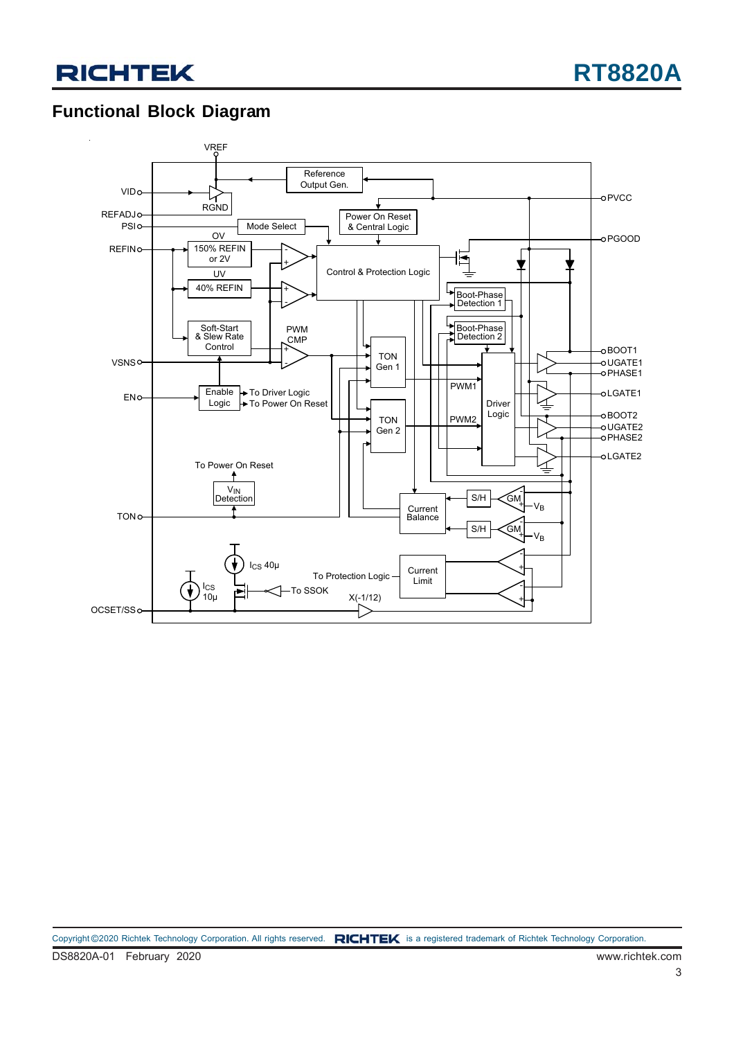## **Functional Block Diagram**

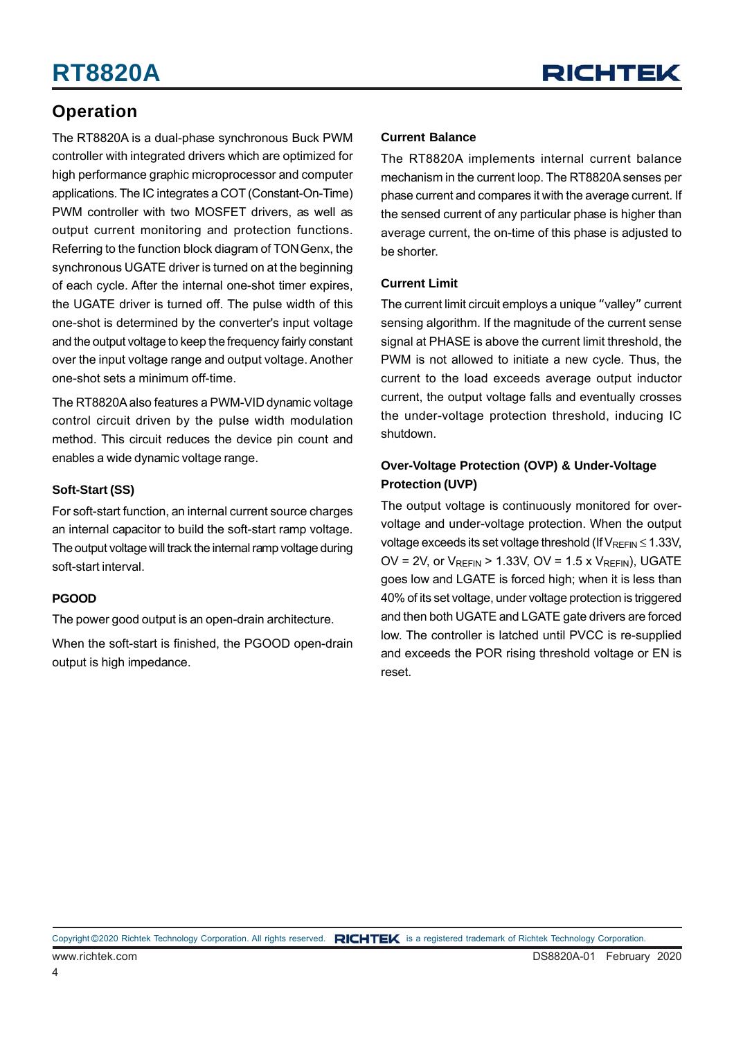### **Operation**

The RT8820A is a dual-phase synchronous Buck PWM controller with integrated drivers which are optimized for high performance graphic microprocessor and computer applications. The IC integrates a COT (Constant-On-Time) PWM controller with two MOSFET drivers, as well as output current monitoring and protection functions. Referring to the function block diagram of TON Genx, the synchronous UGATE driver is turned on at the beginning of each cycle. After the internal one-shot timer expires, the UGATE driver is turned off. The pulse width of this one-shot is determined by the converter's input voltage and the output voltage to keep the frequency fairly constant over the input voltage range and output voltage. Another one-shot sets a minimum off-time.

The RT8820A also features a PWM-VID dynamic voltage control circuit driven by the pulse width modulation method. This circuit reduces the device pin count and enables a wide dynamic voltage range.

#### **Soft-Start (SS)**

For soft-start function, an internal current source charges an internal capacitor to build the soft-start ramp voltage. The output voltage will track the internal ramp voltage during soft-start interval.

#### **PGOOD**

The power good output is an open-drain architecture.

When the soft-start is finished, the PGOOD open-drain output is high impedance.

#### **Current Balance**

The RT8820A implements internal current balance mechanism in the current loop. The RT8820A senses per phase current and compares it with the average current. If the sensed current of any particular phase is higher than average current, the on-time of this phase is adjusted to be shorter.

#### **Current Limit**

The current limit circuit employs a unique "valley" current sensing algorithm. If the magnitude of the current sense signal at PHASE is above the current limit threshold, the PWM is not allowed to initiate a new cycle. Thus, the current to the load exceeds average output inductor current, the output voltage falls and eventually crosses the under-voltage protection threshold, inducing IC shutdown.

#### **Over-Voltage Protection (OVP) & Under-Voltage Protection (UVP)**

The output voltage is continuously monitored for overvoltage and under-voltage protection. When the output voltage exceeds its set voltage threshold (If  $V_{REFIN} \le 1.33V$ , OV = 2V, or  $V_{RFFIN}$  > 1.33V, OV = 1.5 x  $V_{RFFIN}$ ), UGATE goes low and LGATE is forced high; when it is less than 40% of its set voltage, under voltage protection is triggered and then both UGATE and LGATE gate drivers are forced low. The controller is latched until PVCC is re-supplied and exceeds the POR rising threshold voltage or EN is reset.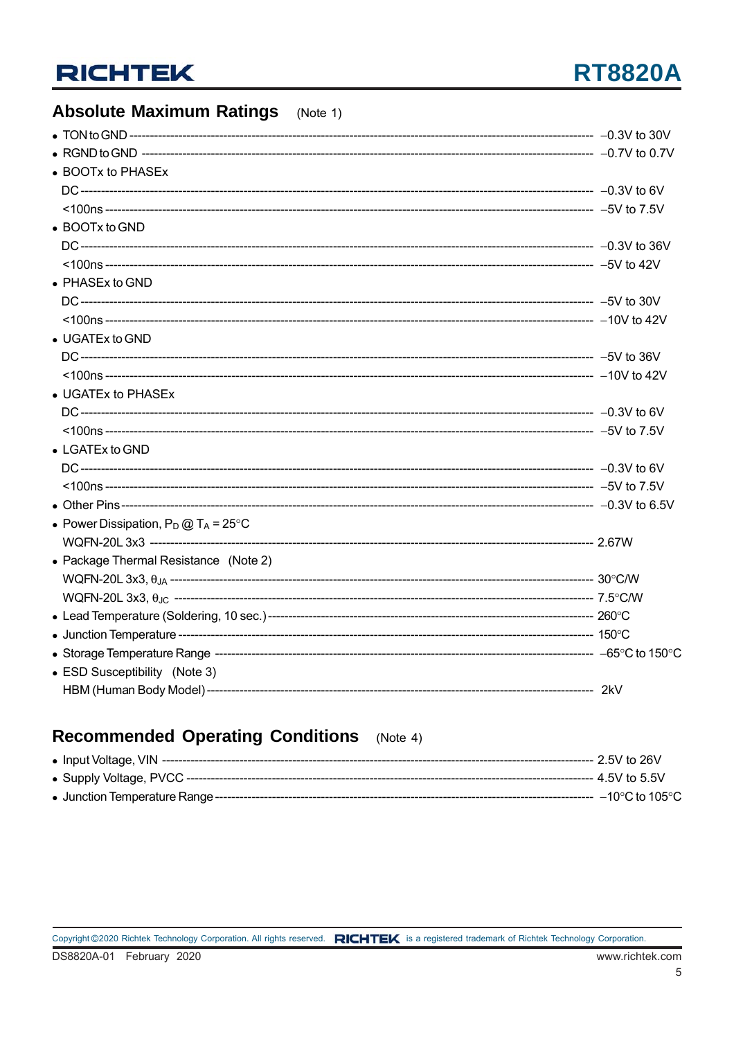## **RT8820A**

#### **Absolute Maximum Ratings** (Note 1) • TON to GND ------------------• BOOTx to PHASEx DC--------------------• BOOTx to GND DC----------------------• PHASEx to GND • UGATEx to GND • UGATEx to PHASEx • LGATEx to GND DC-------------------------• Power Dissipation,  $P_D @ T_A = 25^{\circ}C$ WQFN-20L3x3 ----------------------------• Package Thermal Resistance (Note 2) • ESD Susceptibility (Note 3)

### **Recommended Operating Conditions** (Note 4)

|  | ---- 2 5V to 26V  |
|--|-------------------|
|  | ---- 4 5V to 5 5V |
|  |                   |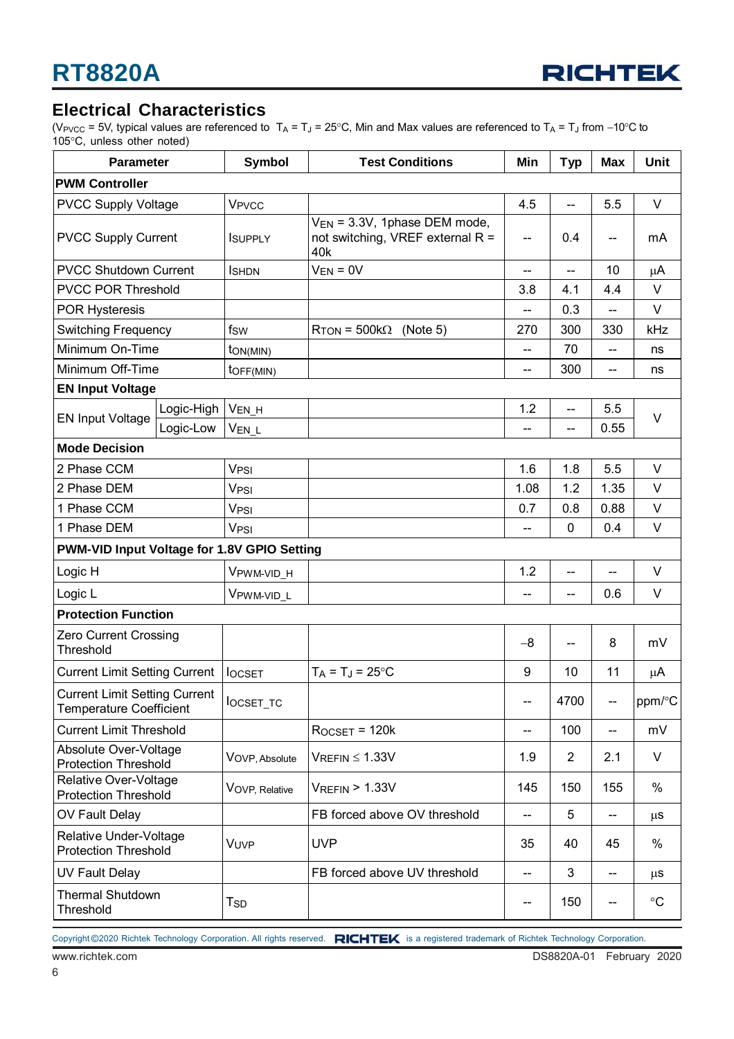

### **Electrical Characteristics**

(V<sub>PVCC</sub> = 5V, typical values are referenced to T<sub>A</sub> = T<sub>J</sub> = 25°C, Min and Max values are referenced to T<sub>A</sub> = T<sub>J</sub> from −10°C to 105°C, unless other noted)

| <b>Parameter</b>                                                       |            | <b>Symbol</b>                | <b>Test Conditions</b>                                                              | Min                      | <b>Typ</b>               | <b>Max</b>               | <b>Unit</b>       |  |
|------------------------------------------------------------------------|------------|------------------------------|-------------------------------------------------------------------------------------|--------------------------|--------------------------|--------------------------|-------------------|--|
| <b>PWM Controller</b>                                                  |            |                              |                                                                                     |                          |                          |                          |                   |  |
| <b>PVCC Supply Voltage</b>                                             |            | <b>V<sub>PVCC</sub></b>      |                                                                                     | 4.5                      | $\overline{a}$           | 5.5                      | $\vee$            |  |
| <b>PVCC Supply Current</b>                                             |            | <b>ISUPPLY</b>               | V <sub>EN</sub> = 3.3V, 1phase DEM mode,<br>not switching, VREF external R =<br>40k |                          | 0.4                      | --                       | mA                |  |
| <b>PVCC Shutdown Current</b>                                           |            | <b>I</b> SHDN                | $V_{EN} = 0V$                                                                       | $\overline{\phantom{a}}$ | $\frac{1}{2}$            | 10                       | μA                |  |
| <b>PVCC POR Threshold</b>                                              |            |                              |                                                                                     | 3.8                      | 4.1                      | 4.4                      | $\vee$            |  |
| <b>POR Hysteresis</b>                                                  |            |                              |                                                                                     | --                       | 0.3                      | $-$                      | V                 |  |
| <b>Switching Frequency</b>                                             |            | fsw                          | $R_{\text{TON}}$ = 500k $\Omega$<br>(Note 5)                                        | 270                      | 300                      | 330                      | kHz               |  |
| Minimum On-Time                                                        |            | $\mathsf{ton}(\mathsf{MIN})$ |                                                                                     | --                       | 70                       | $-$                      | ns                |  |
| Minimum Off-Time                                                       |            | toff(MIN)                    |                                                                                     |                          | 300                      | --                       | ns                |  |
| <b>EN Input Voltage</b>                                                |            |                              |                                                                                     |                          |                          |                          |                   |  |
| <b>EN Input Voltage</b>                                                | Logic-High | VEN_H                        |                                                                                     | 1.2                      | $\overline{\phantom{a}}$ | 5.5                      | $\vee$            |  |
|                                                                        | Logic-Low  | VEN L                        |                                                                                     | --                       | --                       | 0.55                     |                   |  |
| <b>Mode Decision</b>                                                   |            |                              |                                                                                     |                          |                          |                          |                   |  |
| 2 Phase CCM                                                            |            | <b>V<sub>PSI</sub></b>       |                                                                                     | 1.6                      | 1.8                      | 5.5                      | V                 |  |
| 2 Phase DEM                                                            |            | V <sub>PSI</sub>             |                                                                                     | 1.08                     | 1.2                      | 1.35                     | V                 |  |
| 1 Phase CCM                                                            |            | V <sub>PSI</sub>             |                                                                                     | 0.7                      | 0.8                      | 0.88                     | V                 |  |
| 1 Phase DEM                                                            |            | V <sub>PSI</sub>             |                                                                                     | --                       | 0                        | 0.4                      | V                 |  |
| PWM-VID Input Voltage for 1.8V GPIO Setting                            |            |                              |                                                                                     |                          |                          |                          |                   |  |
| Logic H                                                                |            | VPWM-VID_H                   |                                                                                     | 1.2                      | --                       | $\overline{a}$           | $\vee$            |  |
| Logic L                                                                |            | VPWM-VID_L                   |                                                                                     | $\overline{a}$           | $\overline{\phantom{m}}$ | 0.6                      | V                 |  |
| <b>Protection Function</b>                                             |            |                              |                                                                                     |                          |                          |                          |                   |  |
| Zero Current Crossing<br>Threshold                                     |            |                              |                                                                                     | $-8$                     | --                       | 8                        | mV                |  |
| <b>Current Limit Setting Current</b>                                   |            | <b>locsET</b>                | $T_A = T_J = 25$ °C                                                                 | 9                        | 10                       | 11                       | μA                |  |
| <b>Current Limit Setting Current</b><br><b>Temperature Coefficient</b> |            | locset_TC                    |                                                                                     |                          | 4700                     |                          | ppm/°C            |  |
| <b>Current Limit Threshold</b>                                         |            |                              | $R$ OCSET = 120 $k$                                                                 | $\overline{\phantom{a}}$ | 100                      | $\overline{\phantom{a}}$ | mV                |  |
| Absolute Over-Voltage<br><b>Protection Threshold</b>                   |            | VOVP, Absolute               | $V_{REFIN} \leq 1.33V$                                                              | 1.9                      | $\overline{2}$           | 2.1                      | V                 |  |
| Relative Over-Voltage<br><b>Protection Threshold</b>                   |            | VOVP, Relative               | $V_{REFIN}$ > 1.33V                                                                 | 145                      | 150                      | 155                      | %                 |  |
| OV Fault Delay                                                         |            |                              | FB forced above OV threshold                                                        | $\overline{\phantom{a}}$ | 5                        | --                       | $\mu$ S           |  |
| Relative Under-Voltage<br><b>Protection Threshold</b>                  |            | VUVP                         | <b>UVP</b>                                                                          | 35                       | 40                       | 45                       | %                 |  |
| <b>UV Fault Delay</b>                                                  |            |                              | FB forced above UV threshold                                                        | --                       | 3                        | $-$                      | $\mu$ S           |  |
| <b>Thermal Shutdown</b><br>Threshold                                   |            | Tsd                          |                                                                                     | --                       | 150                      | $-$                      | $^\circ \text{C}$ |  |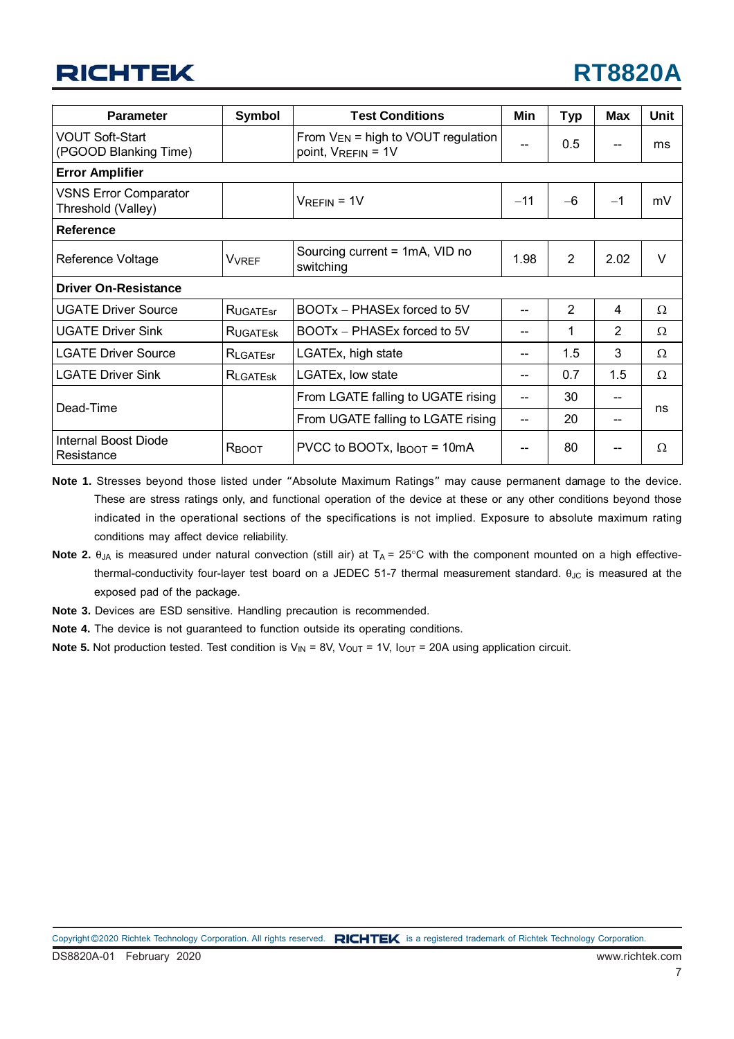

| <b>Parameter</b>                                   | <b>Symbol</b>            | <b>Test Conditions</b>                                        | Min  | <b>Typ</b>     | <b>Max</b> | <b>Unit</b> |  |
|----------------------------------------------------|--------------------------|---------------------------------------------------------------|------|----------------|------------|-------------|--|
| <b>VOUT Soft-Start</b><br>(PGOOD Blanking Time)    |                          | From $V_{EN}$ = high to VOUT regulation<br>point, VREFIN = 1V |      | 0.5            | $-$        | ms          |  |
| <b>Error Amplifier</b>                             |                          |                                                               |      |                |            |             |  |
| <b>VSNS Error Comparator</b><br>Threshold (Valley) |                          | $-11$<br>$V_{REFIN} = 1V$                                     |      | $-6$           | $-1$       | mV          |  |
| <b>Reference</b>                                   |                          |                                                               |      |                |            |             |  |
| Reference Voltage                                  | <b>V</b> <sub>VREF</sub> | Sourcing current = 1mA, VID no<br>switching                   | 1.98 | $\overline{2}$ | 2.02       | $\vee$      |  |
| <b>Driver On-Resistance</b>                        |                          |                                                               |      |                |            |             |  |
| <b>UGATE Driver Source</b>                         | RUGATEST                 | BOOTx – PHASEx forced to 5V                                   |      | $\overline{2}$ | 4          | Ω           |  |
| <b>UGATE Driver Sink</b>                           | RUGATESK                 | BOOTx - PHASEx forced to 5V                                   |      | 1              | 2          | Ω           |  |
| <b>LGATE Driver Source</b>                         | RLGATEST                 | LGATEx, high state                                            |      | 1.5            | 3          | Ω           |  |
| <b>LGATE Driver Sink</b>                           | RLGATESK                 | LGATEx, low state                                             |      | 0.7            | 1.5        | Ω           |  |
|                                                    |                          | From LGATE falling to UGATE rising                            |      | 30             |            |             |  |
| Dead-Time                                          |                          | From UGATE falling to LGATE rising                            |      | 20             | --         | ns          |  |
| Internal Boost Diode<br>Resistance                 | R <sub>BOOT</sub>        | PVCC to BOOTx, $I_{\text{BOOT}} = 10 \text{mA}$               |      | 80             |            | Ω           |  |

**Note 1.** Stresses beyond those listed under "Absolute Maximum Ratings" may cause permanent damage to the device. These are stress ratings only, and functional operation of the device at these or any other conditions beyond those indicated in the operational sections of the specifications is not implied. Exposure to absolute maximum rating conditions may affect device reliability.

- Note 2. θ<sub>JA</sub> is measured under natural convection (still air) at T<sub>A</sub> = 25°C with the component mounted on a high effectivethermal-conductivity four-layer test board on a JEDEC 51-7 thermal measurement standard.  $θ_{JC}$  is measured at the exposed pad of the package.
- **Note 3.** Devices are ESD sensitive. Handling precaution is recommended.
- **Note 4.** The device is not guaranteed to function outside its operating conditions.
- **Note 5.** Not production tested. Test condition is  $V_{\text{IN}} = 8V$ ,  $V_{\text{OUT}} = 1V$ ,  $I_{\text{OUT}} = 20A$  using application circuit.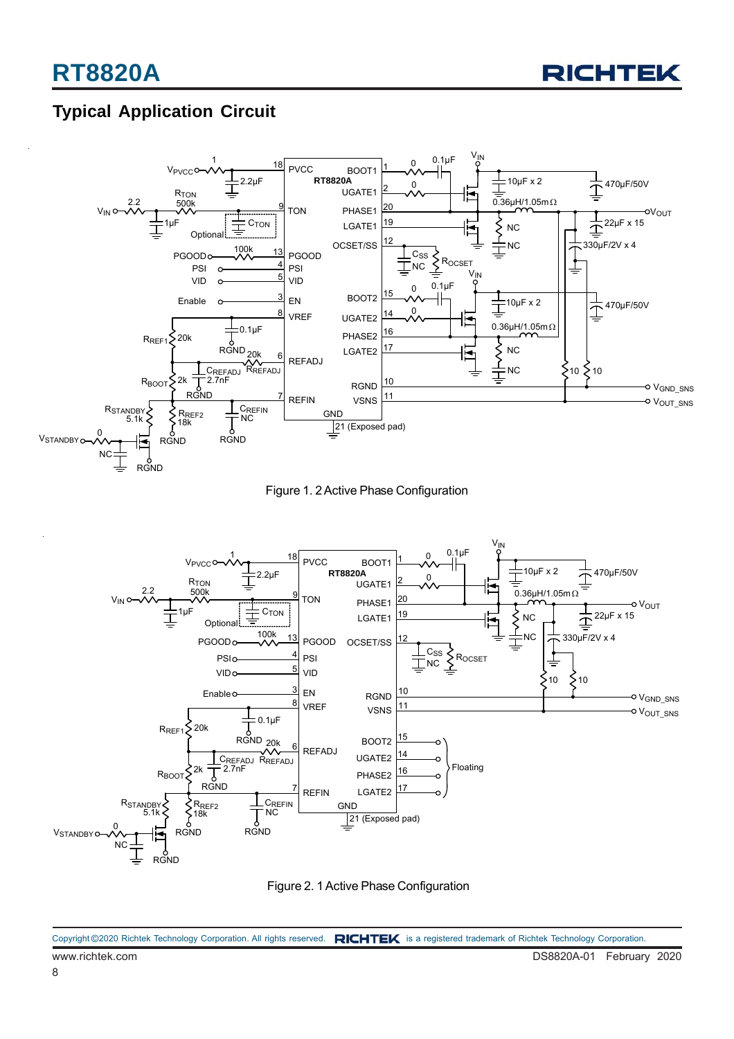

## **Typical Application Circuit**







Figure 2. 1 Active Phase Configuration

www.richtek.com DS8820A-01 February 2020 Copyright ©2020 Richtek Technology Corporation. All rights reserved. RICHTEK is a registered trademark of Richtek Technology Corporation.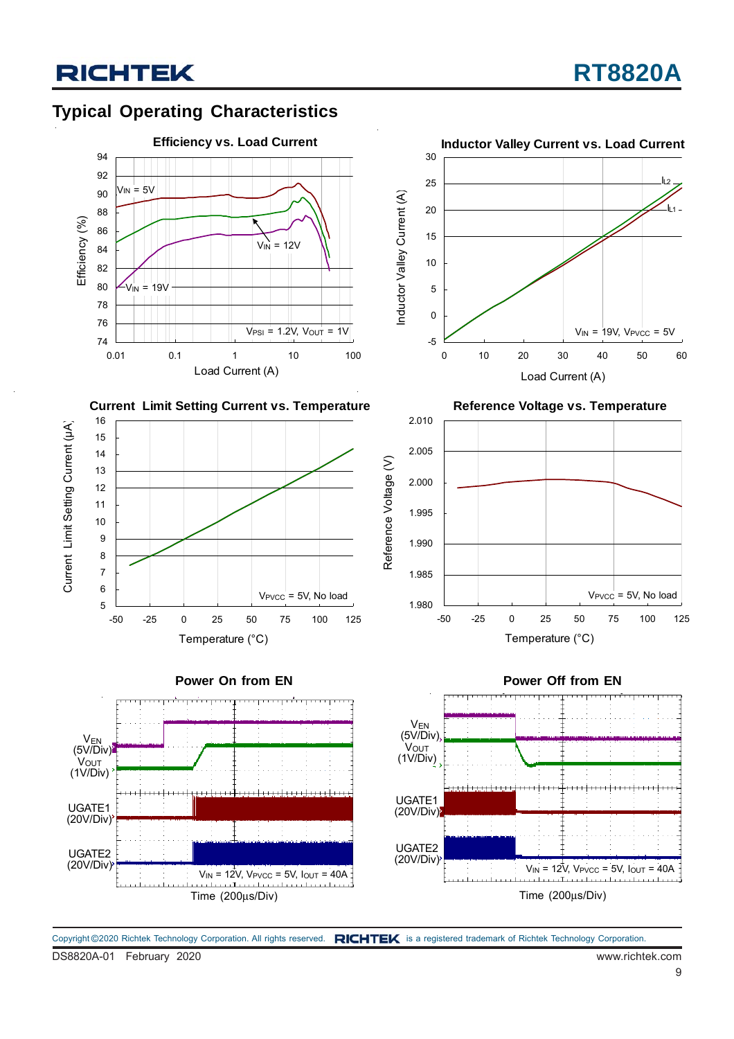### **Typical Operating Characteristics**



















DS8820A-01 February 2020 www.richtek.com Copyright ©2020 Richtek Technology Corporation. All rights reserved. RICHTEK is a registered trademark of Richtek Technology Corporation.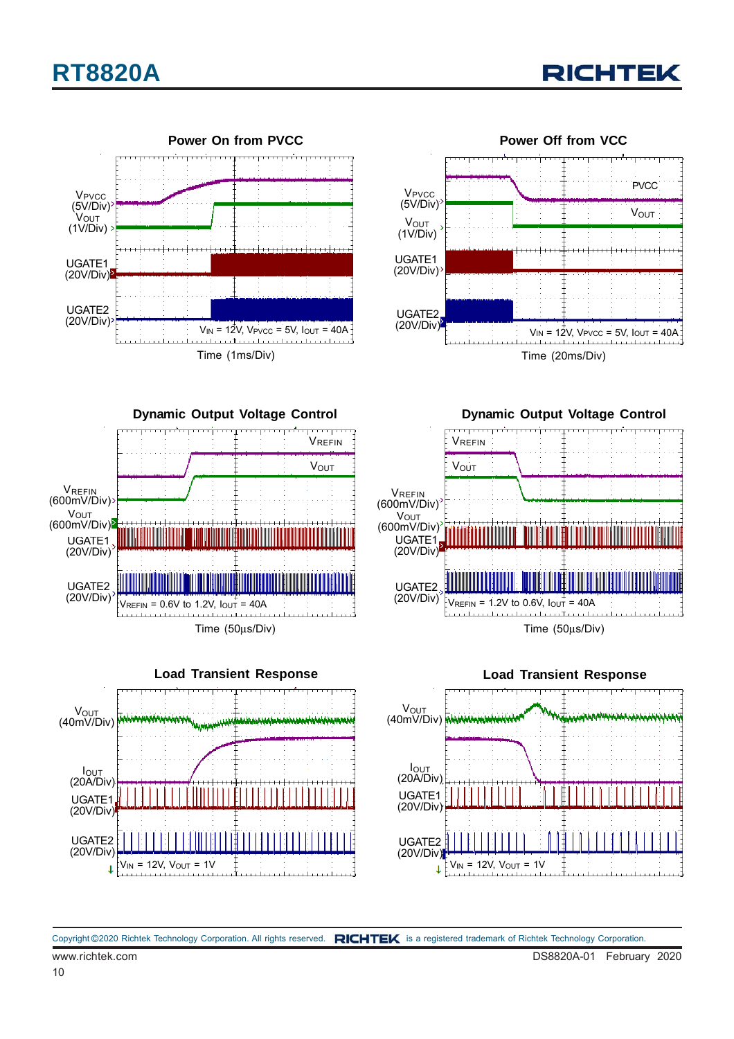## **RT8820A**







**Dynamic Output Voltage Control** VREFIN **V**OUT **VREFIN** (600mV/Div) **VOUT** (600mV/Div) UGATE1 (20V/Div) UGATE2 (20V/Div)  $\frac{1}{2}V_{REFIN} = 0.6V$  to 1.2V,  $I_{OUT} = 40A$ **THEFT CONTROL** Time (50μs/Div)



**Dynamic Output Voltage Control**



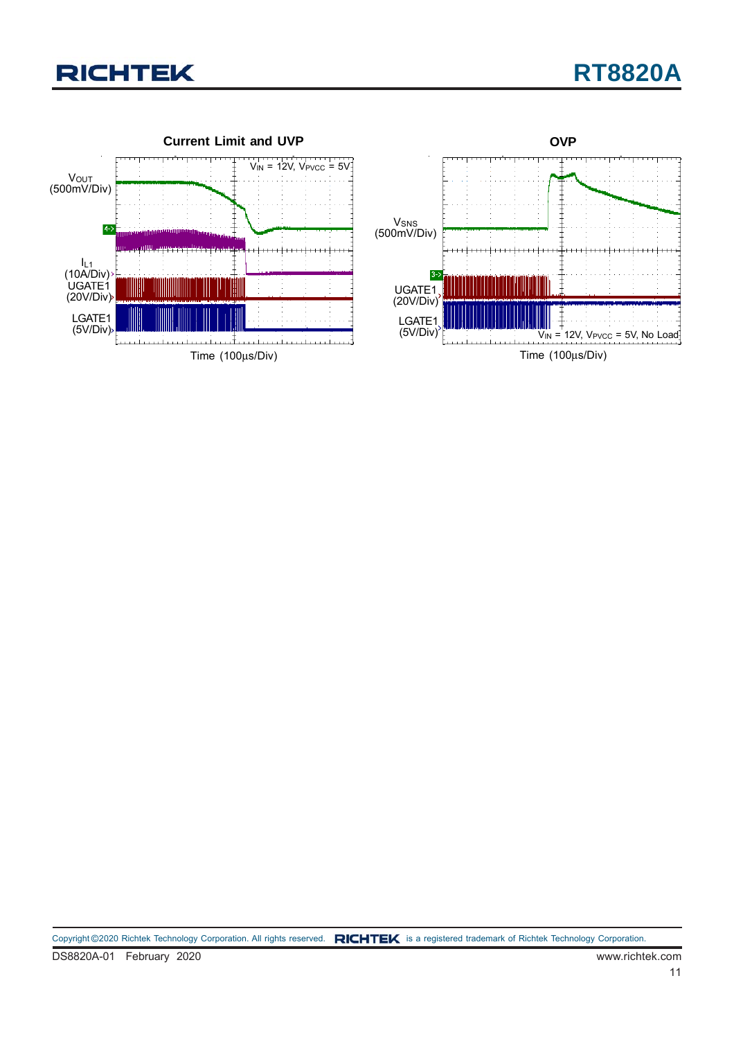

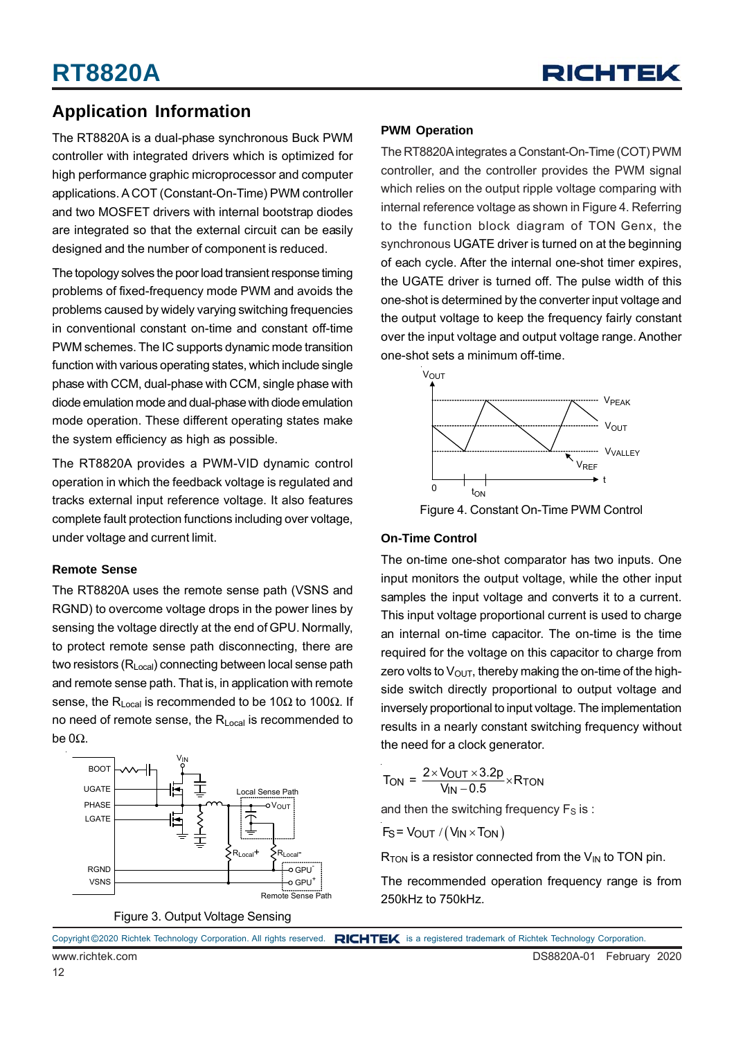

### **Application Information**

The RT8820A is a dual-phase synchronous Buck PWM controller with integrated drivers which is optimized for high performance graphic microprocessor and computer applications. A COT (Constant-On-Time) PWM controller and two MOSFET drivers with internal bootstrap diodes are integrated so that the external circuit can be easily designed and the number of component is reduced.

The topology solves the poor load transient response timing problems of fixed-frequency mode PWM and avoids the problems caused by widely varying switching frequencies in conventional constant on-time and constant off-time PWM schemes. The IC supports dynamic mode transition function with various operating states, which include single phase with CCM, dual-phase with CCM, single phase with diode emulation mode and dual-phase with diode emulation mode operation. These different operating states make the system efficiency as high as possible.

The RT8820A provides a PWM-VID dynamic control operation in which the feedback voltage is regulated and tracks external input reference voltage. It also features complete fault protection functions including over voltage, under voltage and current limit.

#### **Remote Sense**

The RT8820A uses the remote sense path (VSNS and RGND) to overcome voltage drops in the power lines by sensing the voltage directly at the end of GPU. Normally, to protect remote sense path disconnecting, there are two resistors (R<sub>Local</sub>) connecting between local sense path and remote sense path. That is, in application with remote sense, the R<sub>Local</sub> is recommended to be 10Ω to 100Ω. If no need of remote sense, the R<sub>Local</sub> is recommended to be 0Ω.





#### **PWM Operation**

The RT8820A integrates a Constant-On-Time (COT) PWM controller, and the controller provides the PWM signal which relies on the output ripple voltage comparing with internal reference voltage as shown in Figure 4. Referring to the function block diagram of TON Genx, the synchronous UGATE driver is turned on at the beginning of each cycle. After the internal one-shot timer expires, the UGATE driver is turned off. The pulse width of this one-shot is determined by the converter input voltage and the output voltage to keep the frequency fairly constant over the input voltage and output voltage range. Another one-shot sets a minimum off-time.



Figure 4. Constant On-Time PWM Control

#### **On-Time Control**

The on-time one-shot comparator has two inputs. One input monitors the output voltage, while the other input samples the input voltage and converts it to a current. This input voltage proportional current is used to charge an internal on-time capacitor. The on-time is the time required for the voltage on this capacitor to charge from zero volts to  $V_{\text{OUT}}$ , thereby making the on-time of the highside switch directly proportional to output voltage and inversely proportional to input voltage. The implementation results in a nearly constant switching frequency without the need for a clock generator.

$$
T_{\text{ON}} = \frac{2 \times V_{\text{OUT}} \times 3.2p}{V_{\text{IN}} - 0.5} \times R_{\text{TON}}
$$

and then the switching frequency  $F_S$  is :

$$
F_S = V_{OUT} / (V_{IN} \times T_{ON})
$$

 $R_{TON}$  is a resistor connected from the  $V_{IN}$  to TON pin.

The recommended operation frequency range is from 250kHz to 750kHz.

|                 | Copyright ©2020 Richtek Technology Corporation. All rights reserved. RICHTEX is a registered trademark of Richtek Technology Corporation. |
|-----------------|-------------------------------------------------------------------------------------------------------------------------------------------|
| www.richtek.com | DS8820A-01 February 2020                                                                                                                  |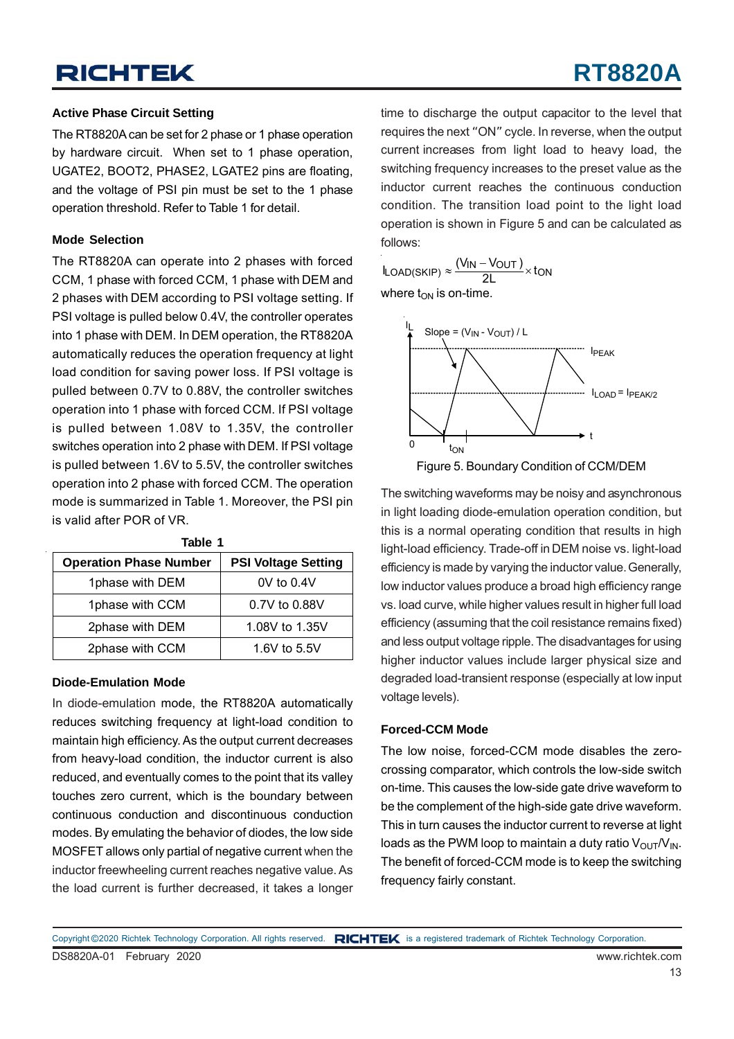## **RT8820A**

#### **Active Phase Circuit Setting**

The RT8820A can be set for 2 phase or 1 phase operation by hardware circuit. When set to 1 phase operation, UGATE2, BOOT2, PHASE2, LGATE2 pins are floating, and the voltage of PSI pin must be set to the 1 phase operation threshold. Refer to Table 1 for detail.

#### **Mode Selection**

The RT8820A can operate into 2 phases with forced CCM, 1 phase with forced CCM, 1 phase with DEM and 2 phases with DEM according to PSI voltage setting. If PSI voltage is pulled below 0.4V, the controller operates into 1 phase with DEM. In DEM operation, the RT8820A automatically reduces the operation frequency at light load condition for saving power loss. If PSI voltage is pulled between 0.7V to 0.88V, the controller switches operation into 1 phase with forced CCM. If PSI voltage is pulled between 1.08V to 1.35V, the controller switches operation into 2 phase with DEM. If PSI voltage is pulled between 1.6V to 5.5V, the controller switches operation into 2 phase with forced CCM. The operation mode is summarized in Table 1. Moreover, the PSI pin is valid after POR of VR.

| rable 1                       |                            |  |  |  |  |
|-------------------------------|----------------------------|--|--|--|--|
| <b>Operation Phase Number</b> | <b>PSI Voltage Setting</b> |  |  |  |  |
| 1phase with DEM               | $0V$ to $0.4V$             |  |  |  |  |
| 1phase with CCM               | 0.7V to 0.88V              |  |  |  |  |
| 2phase with DEM               | 1.08V to 1.35V             |  |  |  |  |
| 2phase with CCM               | 1.6V to $5.5V$             |  |  |  |  |

**Table 1**

#### **Diode-Emulation Mode**

In diode-emulation mode, the RT8820A automatically reduces switching frequency at light-load condition to maintain high efficiency. As the output current decreases from heavy-load condition, the inductor current is also reduced, and eventually comes to the point that its valley touches zero current, which is the boundary between continuous conduction and discontinuous conduction modes. By emulating the behavior of diodes, the low side MOSFET allows only partial of negative current when the inductor freewheeling current reaches negative value. As the load current is further decreased, it takes a longer

time to discharge the output capacitor to the level that requires the next "ON" cycle. In reverse, when the output current increases from light load to heavy load, the switching frequency increases to the preset value as the inductor current reaches the continuous conduction condition. The transition load point to the light load operation is shown in Figure 5 and can be calculated as follows:

 $I_{\text{LOAD(SKIP)}} \approx \frac{(V_{\text{IN}} - V_{\text{OUT}})}{2L} \times \text{ton}$ where  $t_{ON}$  is on-time.



Figure 5. Boundary Condition of CCM/DEM

The switching waveforms may be noisy and asynchronous in light loading diode-emulation operation condition, but this is a normal operating condition that results in high light-load efficiency. Trade-off in DEM noise vs. light-load efficiency is made by varying the inductor value. Generally, low inductor values produce a broad high efficiency range vs. load curve, while higher values result in higher full load efficiency (assuming that the coil resistance remains fixed) and less output voltage ripple. The disadvantages for using higher inductor values include larger physical size and degraded load-transient response (especially at low input voltage levels).

#### **Forced-CCM Mode**

The low noise, forced-CCM mode disables the zerocrossing comparator, which controls the low-side switch on-time. This causes the low-side gate drive waveform to be the complement of the high-side gate drive waveform. This in turn causes the inductor current to reverse at light loads as the PWM loop to maintain a duty ratio  $V_{\text{OUT}}/V_{\text{IN}}$ . The benefit of forced-CCM mode is to keep the switching frequency fairly constant.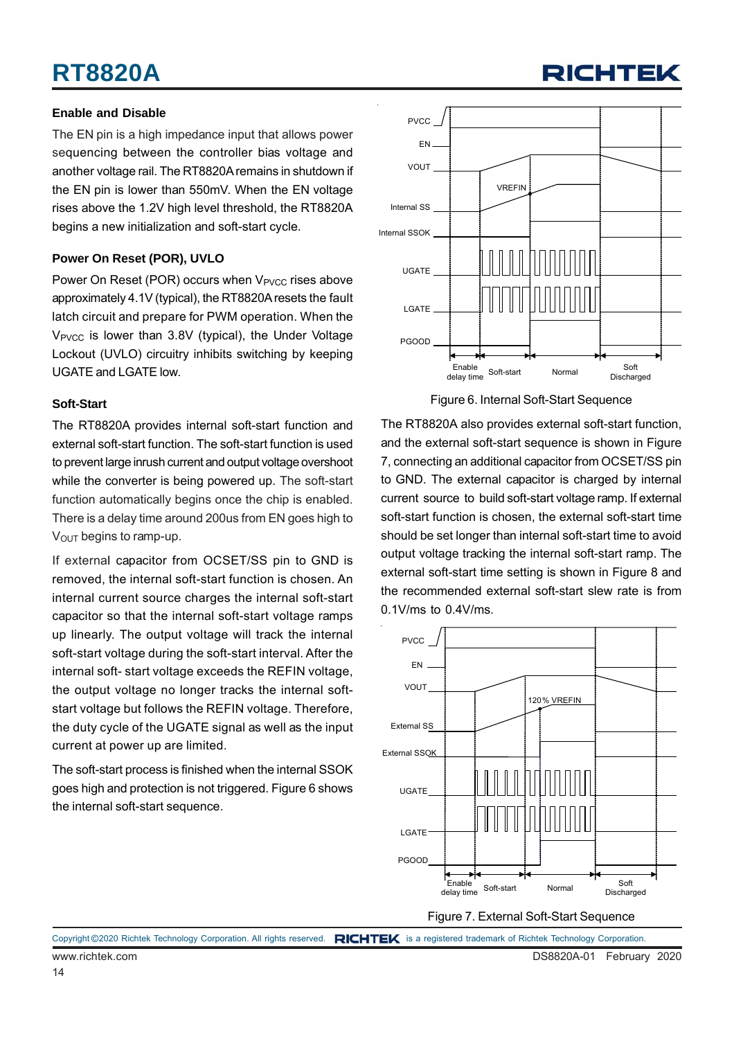## **RT8820A**

#### **Enable and Disable**

The EN pin is a high impedance input that allows power sequencing between the controller bias voltage and another voltage rail. The RT8820A remains in shutdown if the EN pin is lower than 550mV. When the EN voltage rises above the 1.2V high level threshold, the RT8820A begins a new initialization and soft-start cycle.

#### **Power On Reset (POR), UVLO**

Power On Reset (POR) occurs when V<sub>PVCC</sub> rises above approximately 4.1V (typical), the RT8820A resets the fault latch circuit and prepare for PWM operation. When the V<sub>PVCC</sub> is lower than 3.8V (typical), the Under Voltage Lockout (UVLO) circuitry inhibits switching by keeping UGATE and LGATE low.

#### **Soft-Start**

The RT8820A provides internal soft-start function and external soft-start function. The soft-start function is used to prevent large inrush current and output voltage overshoot while the converter is being powered up. The soft-start function automatically begins once the chip is enabled. There is a delay time around 200us from EN goes high to  $V<sub>OUT</sub>$  begins to ramp-up.

If external capacitor from OCSET/SS pin to GND is removed, the internal soft-start function is chosen. An internal current source charges the internal soft-start capacitor so that the internal soft-start voltage ramps up linearly. The output voltage will track the internal soft-start voltage during the soft-start interval. After the internal soft- start voltage exceeds the REFIN voltage, the output voltage no longer tracks the internal softstart voltage but follows the REFIN voltage. Therefore, the duty cycle of the UGATE signal as well as the input current at power up are limited.

The soft-start process is finished when the internal SSOK goes high and protection is not triggered. Figure 6 shows the internal soft-start sequence.



RICHTEI

Figure 6. Internal Soft-Start Sequence

The RT8820A also provides external soft-start function, and the external soft-start sequence is shown in Figure 7, connecting an additional capacitor from OCSET/SS pin to GND. The external capacitor is charged by internal current source to build soft-start voltage ramp. If external soft-start function is chosen, the external soft-start time should be set longer than internal soft-start time to avoid output voltage tracking the internal soft-start ramp. The external soft-start time setting is shown in Figure 8 and the recommended external soft-start slew rate is from 0.1V/ms to 0.4V/ms.

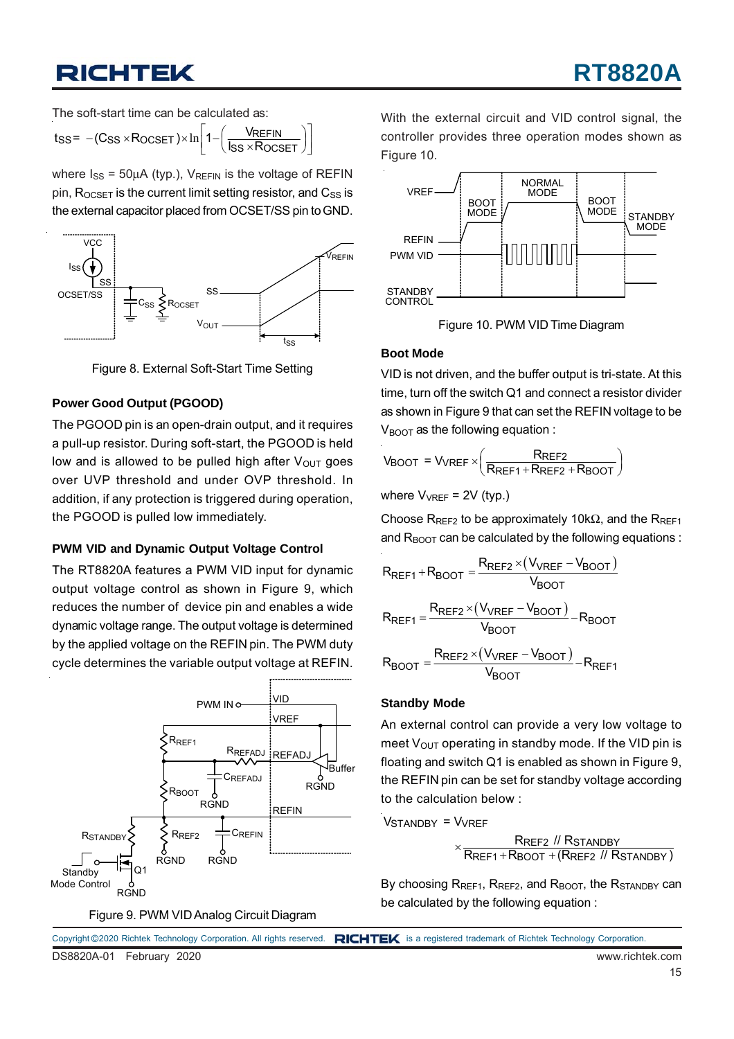The soft-start time can be calculated as:

$$
t_{SS} = -(C_{SS} \times R_{OCSET}) \times \ln\left[1 - \left(\frac{V_{REFIN}}{I_{SS} \times R_{OCSET}}\right)\right]
$$

where  $I_{SS}$  = 50µA (typ.),  $V_{REFIN}$  is the voltage of REFIN pin,  $R_{OCSET}$  is the current limit setting resistor, and  $C_{SS}$  is the external capacitor placed from OCSET/SS pin to GND.



Figure 8. External Soft-Start Time Setting

#### **Power Good Output (PGOOD)**

The PGOOD pin is an open-drain output, and it requires a pull-up resistor. During soft-start, the PGOOD is held low and is allowed to be pulled high after  $V_{\text{OUT}}$  goes over UVP threshold and under OVP threshold. In addition, if any protection is triggered during operation, the PGOOD is pulled low immediately.

#### **PWM VID and Dynamic Output Voltage Control**

The RT8820A features a PWM VID input for dynamic output voltage control as shown in Figure 9, which reduces the number of device pin and enables a wide dynamic voltage range. The output voltage is determined by the applied voltage on the REFIN pin. The PWM duty cycle determines the variable output voltage at REFIN.



Figure 9. PWM VID Analog Circuit Diagram

With the external circuit and VID control signal, the controller provides three operation modes shown as Figure 10.



Figure 10. PWM VID Time Diagram

#### **Boot Mode**

VID is not driven, and the buffer output is tri-state. At this time, turn off the switch Q1 and connect a resistor divider as shown in Figure 9 that can set the REFIN voltage to be  $V_{\text{B}\text{O}\text{O}\text{T}}$  as the following equation :

$$
V_{\text{BOOT}} = V_{\text{VREF}} \times \left(\frac{R_{\text{REF2}}}{R_{\text{REF1}} + R_{\text{REF2}} + R_{\text{BOOT}}}\right)
$$

where 
$$
V_{VREF} = 2V
$$
 (typ.)

Choose R<sub>REF2</sub> to be approximately 10k $\Omega$ , and the R<sub>RFF1</sub> and  $R_{\text{BOOT}}$  can be calculated by the following equations :

$$
R_{REF1} + R_{BOOT} = \frac{R_{REF2} \times (V_{VREF} - V_{BOOT})}{V_{BOOT}}
$$
  

$$
R_{REF1} = \frac{R_{REF2} \times (V_{VREF} - V_{BOOT})}{V_{BOOT}} - R_{BOOT}
$$
  

$$
R_{BOOT} = \frac{R_{REF2} \times (V_{VREF} - V_{BOOT})}{V_{BOOT}} - R_{REF1}
$$

#### **Standby Mode**

An external control can provide a very low voltage to meet  $V_{OUT}$  operating in standby mode. If the VID pin is floating and switch Q1 is enabled as shown in Figure 9, the REFIN pin can be set for standby voltage according to the calculation below :

Vstandby = Vvref

 REF2 STANDBY  $\times \frac{\textsf{R}_\textsf{REF2} \textit{ // R}_\textsf{STANDBY}}{\textsf{R}_\textsf{REF1} + \textsf{R}_\textsf{BOOT} + (\textsf{R}_\textsf{REF2} \textit{ // R}_\textsf{STANDBY})}$ 

By choosing  $R_{REF1}$ ,  $R_{REF2}$ , and  $R_{BOOT}$ , the  $R_{STANDBY}$  can be calculated by the following equation :

|                          | Copyright ©2020 Richtek Technology Corporation. All rights reserved. RICHTEK is a registered trademark of Richtek Technology Corporation. |
|--------------------------|-------------------------------------------------------------------------------------------------------------------------------------------|
| DS8820A-01 February 2020 | www.richtek.com                                                                                                                           |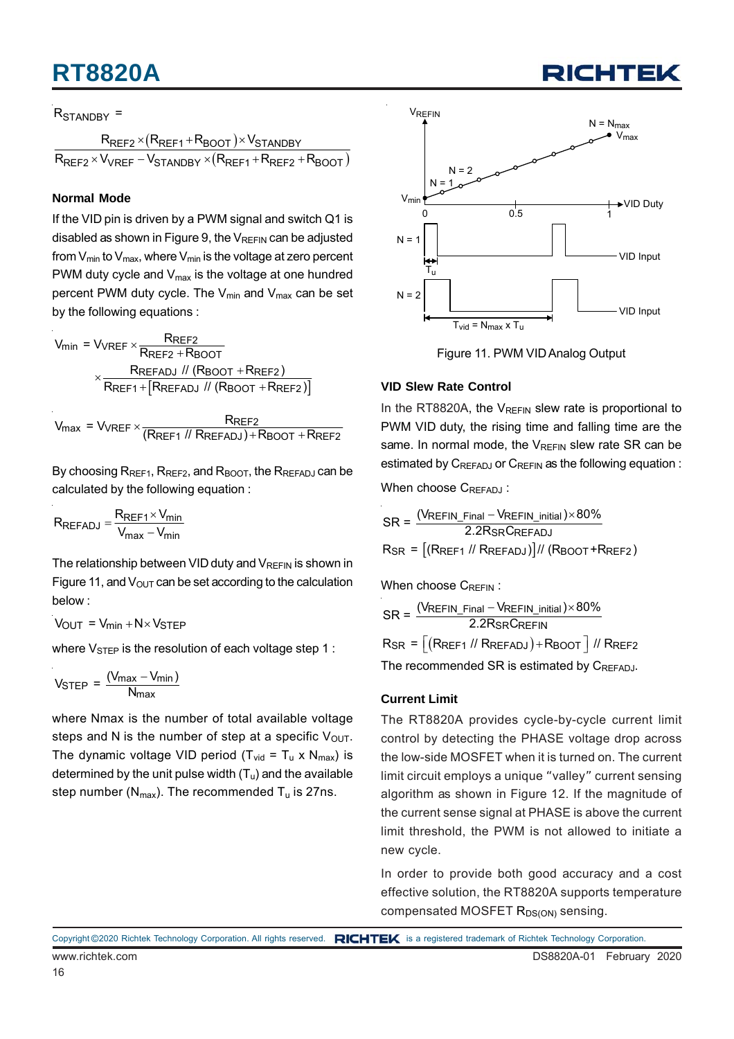## **RT8820A**

#### R<sub>STANDBY</sub> =

 $(R_{\mathsf{REF1}} + R_{\mathsf{BOOT}})$  $(R_{\mathsf{REF1}} + R_{\mathsf{REF2}} + R_{\mathsf{BOOT}})$ REF2 <sup>x</sup> (LREF1 <sup>+</sup> LREF0OT )<sup>x</sup> vSTANDBY REF2 <sup>X V</sup>VREF <sup>— V</sup>STANDBY <sup>X</sup> (**KREF1 † KREF2 † KBOOT**  $R_{\sf{RFF2}} \times (R_{\sf{RFF1}} + R_{\sf{BNOT}}) \times V_{\sf{S}}$  $R_{\sf{REF2}} \times V_{\sf{VREF}} - V_{\sf{STANDBY}} \times (R_{\sf{REF1}} + R_{\sf{REF2}} + R_{\sf{SFF3}})$  $\times$ (R<sub>RFF1</sub>+R<sub>BOOT</sub>) $\times$  $\times$   $V_{\text{VREF}}$  –  $V_{\text{STANNBY}}$   $\times$   $(R_{\text{RFF1}}$  +  $R_{\text{RFF2}}$  +

#### **Normal Mode**

If the VID pin is driven by a PWM signal and switch Q1 is disabled as shown in Figure 9, the  $V_{REFIN}$  can be adjusted from  $V_{min}$  to  $V_{max}$ , where  $V_{min}$  is the voltage at zero percent PWM duty cycle and  $V_{\text{max}}$  is the voltage at one hundred percent PWM duty cycle. The  $V_{min}$  and  $V_{max}$  can be set by the following equations :

$$
V_{min} = V_{VREF} \times \frac{R_{REF2}}{R_{REF2} + R_{BOOT}}
$$

$$
\times \frac{R_{REFADJ} \text{ // (R_{BOOT} + R_{REF2})}}{R_{REF1} + [R_{REFADJ} \text{ // (R_{BOOT} + R_{REF2})}]}
$$

 $V_{\text{max}}$  =  $V_{\text{VREF}} \times \frac{R_{\text{REF2}}}{(R_{\text{REF1}} \text{ // } R_{\text{REFADJ}}) + R_{\text{BOOT}} + R_{\text{REF2}}}$ 

By choosing  $R_{REF1}$ ,  $R_{REF2}$ , and  $R_{BOOT}$ , the  $R_{REFADJ}$  can be calculated by the following equation :

$$
R_{REFADJ} = \frac{R_{REF1} \times V_{min}}{V_{max} - V_{min}}
$$

The relationship between VID duty and  $V_{RFFIN}$  is shown in Figure 11, and  $V_{\text{OUT}}$  can be set according to the calculation below :

$$
V_{OUT} = V_{min} + N \times V_{STEP}
$$

where  $V_{\text{STEP}}$  is the resolution of each voltage step 1 :

$$
V_{\text{STEP}} = \frac{(V_{\text{max}} - V_{\text{min}})}{N_{\text{max}}}
$$

where Nmax is the number of total available voltage steps and N is the number of step at a specific  $V_{\text{OUT}}$ . The dynamic voltage VID period ( $T_{vid} = T_u \times N_{max}$ ) is determined by the unit pulse width  $(T_u)$  and the available step number ( $N_{max}$ ). The recommended  $T_u$  is 27ns.





#### **VID Slew Rate Control**

In the RT8820A, the  $V_{RFFIN}$  slew rate is proportional to PWM VID duty, the rising time and falling time are the same. In normal mode, the  $V_{REFIN}$  slew rate SR can be estimated by  $C_{REFADJ}$  or  $C_{REFIN}$  as the following equation :

When choose CREEADJ:

$$
SR = \frac{(V_{REFIN\_Final} - V_{REFIN\_initial}) \times 80\%}{2.2R_{SR}C_{REFADJ}}
$$
  

$$
R_{SR} = \frac{[(R_{REF1} \text{ // } R_{REFADJ})]}{[R_{BOOT} + R_{REF2}]}
$$

When choose CREEIN:

$$
SR = \frac{(VREFIN\_Final - VREFIN\_initial) \times 80\%}{2.2R_{SR}CREFIN}
$$
  
 
$$
RSR = \left[ \left(RREF1 \; // \; RREFADJ \right) + RBOOT \right] / / \; RREF2
$$

The recommended SR is estimated by CREFADJ.

#### **Current Limit**

The RT8820A provides cycle-by-cycle current limit control by detecting the PHASE voltage drop across the low-side MOSFET when it is turned on. The current limit circuit employs a unique "valley" current sensing algorithm as shown in Figure 12. If the magnitude of the current sense signal at PHASE is above the current limit threshold, the PWM is not allowed to initiate a new cycle.

In order to provide both good accuracy and a cost effective solution, the RT8820A supports temperature compensated MOSFET R<sub>DS(ON)</sub> sensing.

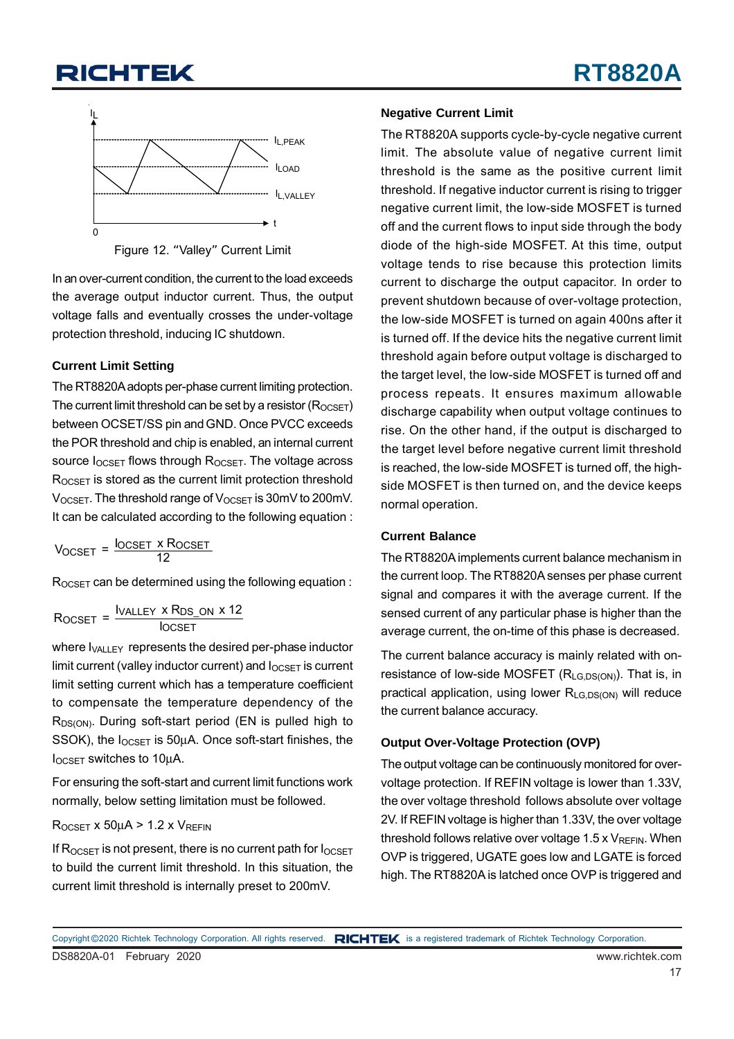

Figure 12. "Valley" Current Limit

In an over-current condition, the current to the load exceeds the average output inductor current. Thus, the output voltage falls and eventually crosses the under-voltage protection threshold, inducing IC shutdown.

#### **Current Limit Setting**

The RT8820A adopts per-phase current limiting protection. The current limit threshold can be set by a resistor  $(R_{OCSFT})$ between OCSET/SS pin and GND. Once PVCC exceeds the POR threshold and chip is enabled, an internal current source I<sub>OCSET</sub> flows through R<sub>OCSET</sub>. The voltage across ROCSET is stored as the current limit protection threshold VOCSET. The threshold range of VOCSET is 30mV to 200mV. It can be calculated according to the following equation :

OCSET OCSET OCSET I x R V = 12

ROCSET can be determined using the following equation :

$$
R_{OCSET} = \frac{I_{VALLEY} \times R_{DS\_ON} \times 12}{I_{OCSET}}
$$

where I<sub>VALLEY</sub> represents the desired per-phase inductor limit current (valley inductor current) and  $I_{OCSET}$  is current limit setting current which has a temperature coefficient to compensate the temperature dependency of the R<sub>DS(ON)</sub>. During soft-start period (EN is pulled high to SSOK), the  $I_{OCSET}$  is 50 $\mu$ A. Once soft-start finishes, the IOCSET switches to 10μA.

For ensuring the soft-start and current limit functions work normally, below setting limitation must be followed.

#### $R_{OCSET}$  x 50µA > 1.2 x  $V_{REFIN}$

If  $R_{OCSET}$  is not present, there is no current path for  $I_{OCSET}$ to build the current limit threshold. In this situation, the current limit threshold is internally preset to 200mV.

#### **Negative Current Limit**

The RT8820A supports cycle-by-cycle negative current limit. The absolute value of negative current limit threshold is the same as the positive current limit threshold. If negative inductor current is rising to trigger negative current limit, the low-side MOSFET is turned off and the current flows to input side through the body diode of the high-side MOSFET. At this time, output voltage tends to rise because this protection limits current to discharge the output capacitor. In order to prevent shutdown because of over-voltage protection, the low-side MOSFET is turned on again 400ns after it is turned off. If the device hits the negative current limit threshold again before output voltage is discharged to the target level, the low-side MOSFET is turned off and process repeats. It ensures maximum allowable discharge capability when output voltage continues to rise. On the other hand, if the output is discharged to the target level before negative current limit threshold is reached, the low-side MOSFET is turned off, the highside MOSFET is then turned on, and the device keeps normal operation.

#### **Current Balance**

The RT8820A implements current balance mechanism in the current loop. The RT8820A senses per phase current signal and compares it with the average current. If the sensed current of any particular phase is higher than the average current, the on-time of this phase is decreased.

The current balance accuracy is mainly related with onresistance of low-side MOSFET (R<sub>LG,DS(ON)</sub>). That is, in practical application, using lower R<sub>LG,DS(ON)</sub> will reduce the current balance accuracy.

#### **Output Over-Voltage Protection (OVP)**

The output voltage can be continuously monitored for overvoltage protection. If REFIN voltage is lower than 1.33V, the over voltage threshold follows absolute over voltage 2V. If REFIN voltage is higher than 1.33V, the over voltage threshold follows relative over voltage  $1.5 \times V_{REFIN}$ . When OVP is triggered, UGATE goes low and LGATE is forced high. The RT8820A is latched once OVP is triggered and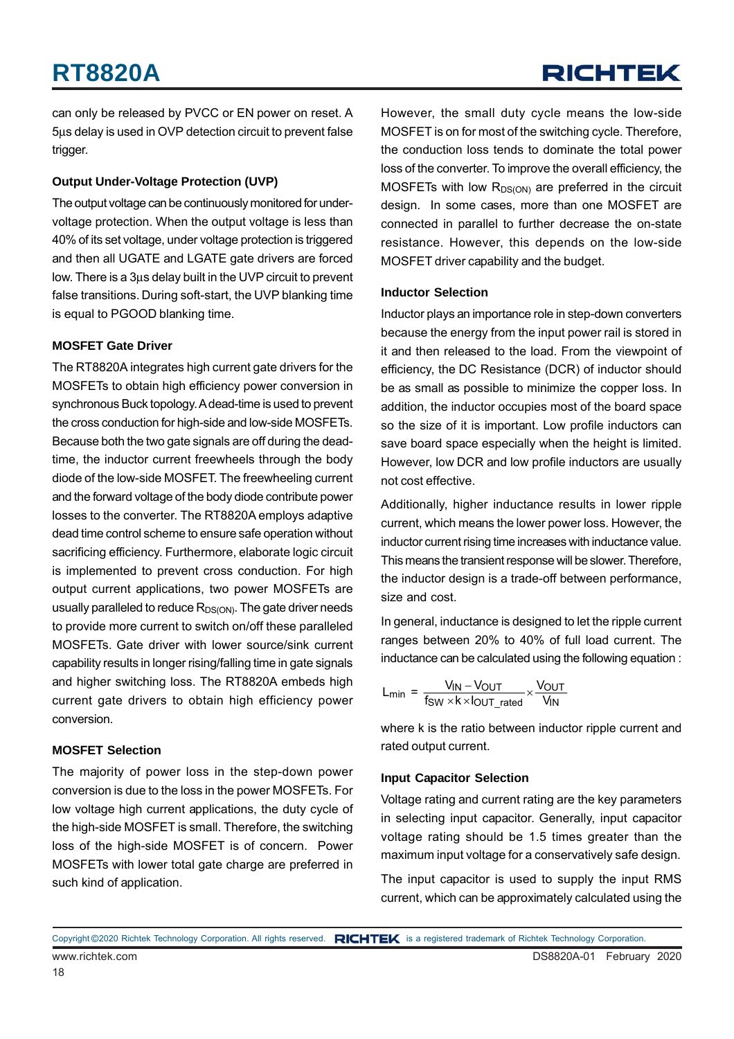can only be released by PVCC or EN power on reset. A 5μs delay is used in OVP detection circuit to prevent false trigger.

#### **Output Under-Voltage Protection (UVP)**

The output voltage can be continuously monitored for undervoltage protection. When the output voltage is less than 40% of its set voltage, under voltage protection is triggered and then all UGATE and LGATE gate drivers are forced low. There is a 3μs delay built in the UVP circuit to prevent false transitions. During soft-start, the UVP blanking time is equal to PGOOD blanking time.

#### **MOSFET Gate Driver**

The RT8820A integrates high current gate drivers for the MOSFETs to obtain high efficiency power conversion in synchronous Buck topology. A dead-time is used to prevent the cross conduction for high-side and low-side MOSFETs. Because both the two gate signals are off during the deadtime, the inductor current freewheels through the body diode of the low-side MOSFET. The freewheeling current and the forward voltage of the body diode contribute power losses to the converter. The RT8820A employs adaptive dead time control scheme to ensure safe operation without sacrificing efficiency. Furthermore, elaborate logic circuit is implemented to prevent cross conduction. For high output current applications, two power MOSFETs are usually paralleled to reduce  $R_{DS(ON)}$ . The gate driver needs to provide more current to switch on/off these paralleled MOSFETs. Gate driver with lower source/sink current capability results in longer rising/falling time in gate signals and higher switching loss. The RT8820A embeds high current gate drivers to obtain high efficiency power conversion.

#### **MOSFET Selection**

The majority of power loss in the step-down power conversion is due to the loss in the power MOSFETs. For low voltage high current applications, the duty cycle of the high-side MOSFET is small. Therefore, the switching loss of the high-side MOSFET is of concern. Power MOSFETs with lower total gate charge are preferred in such kind of application.

However, the small duty cycle means the low-side MOSFET is on for most of the switching cycle. Therefore, the conduction loss tends to dominate the total power loss of the converter. To improve the overall efficiency, the MOSFETs with low  $R_{DS(ON)}$  are preferred in the circuit design. In some cases, more than one MOSFET are connected in parallel to further decrease the on-state resistance. However, this depends on the low-side MOSFET driver capability and the budget.

#### **Inductor Selection**

Inductor plays an importance role in step-down converters because the energy from the input power rail is stored in it and then released to the load. From the viewpoint of efficiency, the DC Resistance (DCR) of inductor should be as small as possible to minimize the copper loss. In addition, the inductor occupies most of the board space so the size of it is important. Low profile inductors can save board space especially when the height is limited. However, low DCR and low profile inductors are usually not cost effective.

Additionally, higher inductance results in lower ripple current, which means the lower power loss. However, the inductor current rising time increases with inductance value. This means the transient response will be slower. Therefore, the inductor design is a trade-off between performance, size and cost.

In general, inductance is designed to let the ripple current ranges between 20% to 40% of full load current. The inductance can be calculated using the following equation :

$$
L_{min} = \frac{V_{IN} - V_{OUT}}{f_{SW} \times k \times l_{OUT\_rated}} \times \frac{V_{OUT}}{V_{IN}}
$$

where k is the ratio between inductor ripple current and rated output current.

#### **Input Capacitor Selection**

Voltage rating and current rating are the key parameters in selecting input capacitor. Generally, input capacitor voltage rating should be 1.5 times greater than the maximum input voltage for a conservatively safe design.

The input capacitor is used to supply the input RMS current, which can be approximately calculated using the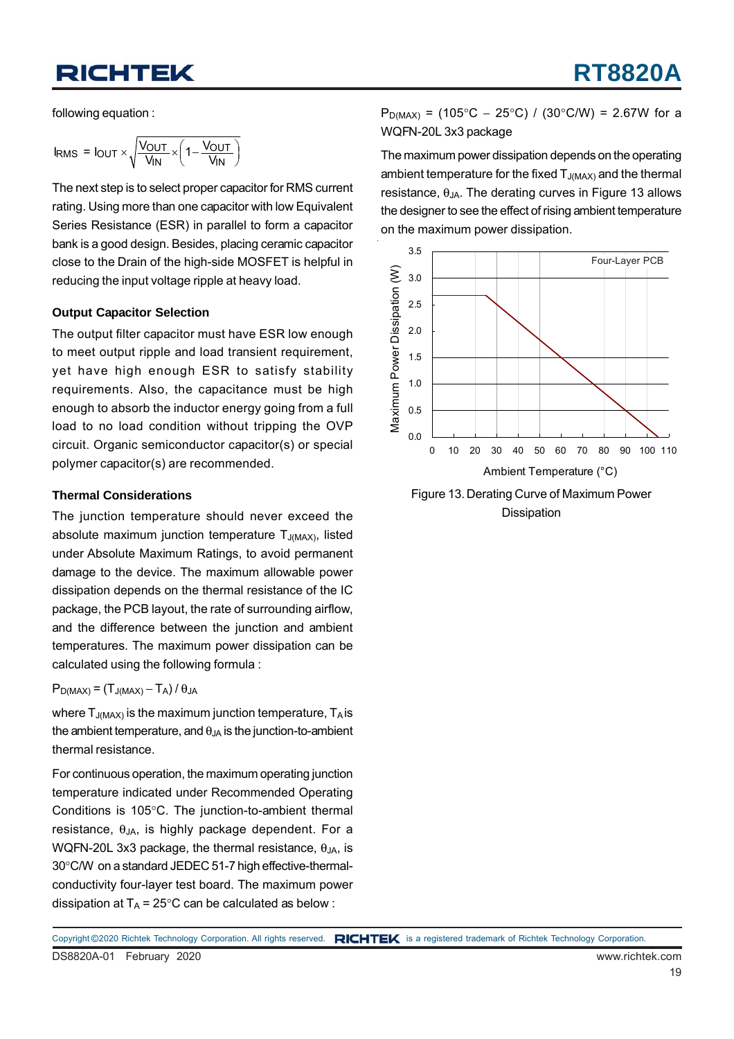following equation :

$$
I_{RMS} = I_{OUT} \times \sqrt{\frac{V_{OUT}}{V_{IN}}} \times \left(1 - \frac{V_{OUT}}{V_{IN}}\right)
$$

The next step is to select proper capacitor for RMS current rating. Using more than one capacitor with low Equivalent Series Resistance (ESR) in parallel to form a capacitor bank is a good design. Besides, placing ceramic capacitor close to the Drain of the high-side MOSFET is helpful in reducing the input voltage ripple at heavy load.

#### **Output Capacitor Selection**

The output filter capacitor must have ESR low enough to meet output ripple and load transient requirement, yet have high enough ESR to satisfy stability requirements. Also, the capacitance must be high enough to absorb the inductor energy going from a full load to no load condition without tripping the OVP circuit. Organic semiconductor capacitor(s) or special polymer capacitor(s) are recommended.

#### **Thermal Considerations**

The junction temperature should never exceed the absolute maximum junction temperature  $T_{J(MAX)}$ , listed under Absolute Maximum Ratings, to avoid permanent damage to the device. The maximum allowable power dissipation depends on the thermal resistance of the IC package, the PCB layout, the rate of surrounding airflow, and the difference between the junction and ambient temperatures. The maximum power dissipation can be calculated using the following formula :

 $P_{D(MAX)} = (T_{J(MAX)} - T_A) / \theta_{JA}$ 

where  $T_{J(MAX)}$  is the maximum junction temperature,  $T_A$  is the ambient temperature, and  $\theta_{JA}$  is the junction-to-ambient thermal resistance.

For continuous operation, the maximum operating junction temperature indicated under Recommended Operating Conditions is 105°C. The junction-to-ambient thermal resistance,  $\theta_{JA}$ , is highly package dependent. For a WQFN-20L 3x3 package, the thermal resistance,  $\theta_{JA}$ , is 30°C/W on a standard JEDEC 51-7 high effective-thermalconductivity four-layer test board. The maximum power dissipation at  $T_A = 25^{\circ}$ C can be calculated as below :

 $P_{D(MAX)}$  = (105°C – 25°C) / (30°C/W) = 2.67W for a WQFN-20L 3x3 package

The maximum power dissipation depends on the operating ambient temperature for the fixed  $T_{J(MAX)}$  and the thermal resistance,  $\theta_{JA}$ . The derating curves in Figure 13 allows the designer to see the effect of rising ambient temperature on the maximum power dissipation.



Figure 13. Derating Curve of Maximum Power Dissipation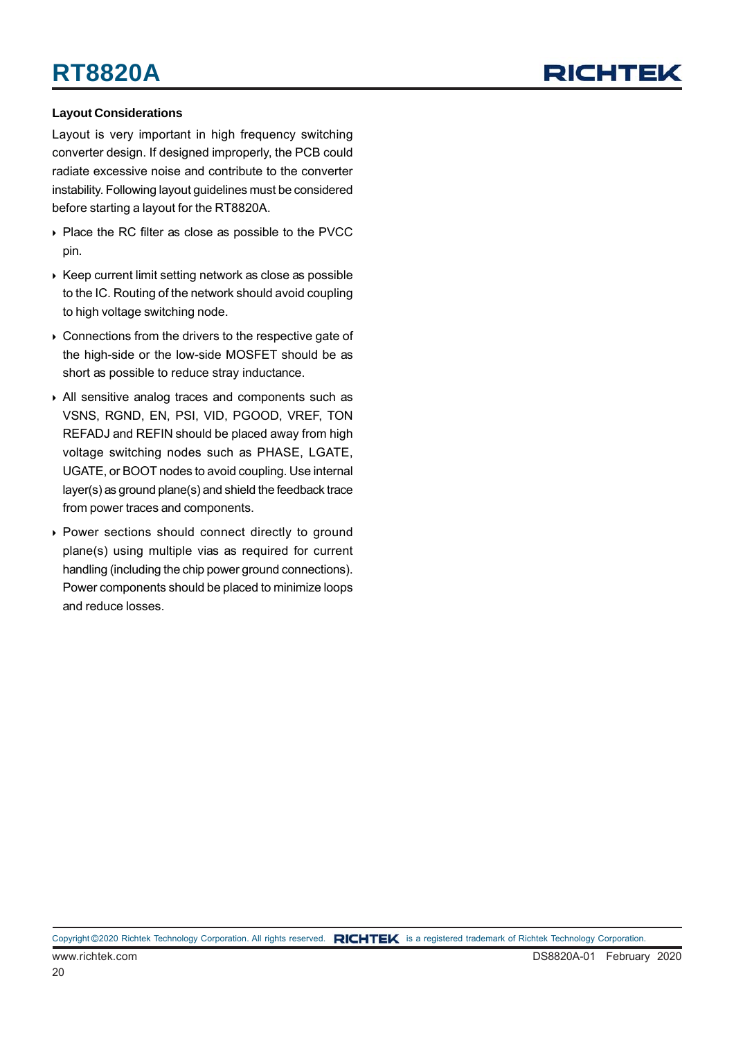## RICHTEL

#### **Layout Considerations**

Layout is very important in high frequency switching converter design. If designed improperly, the PCB could radiate excessive noise and contribute to the converter instability. Following layout guidelines must be considered before starting a layout for the RT8820A.

- ▶ Place the RC filter as close as possible to the PVCC pin.
- $\triangleright$  Keep current limit setting network as close as possible to the IC. Routing of the network should avoid coupling to high voltage switching node.
- ▶ Connections from the drivers to the respective gate of the high-side or the low-side MOSFET should be as short as possible to reduce stray inductance.
- All sensitive analog traces and components such as VSNS, RGND, EN, PSI, VID, PGOOD, VREF, TON REFADJ and REFIN should be placed away from high voltage switching nodes such as PHASE, LGATE, UGATE, or BOOT nodes to avoid coupling. Use internal layer(s) as ground plane(s) and shield the feedback trace from power traces and components.
- Power sections should connect directly to ground plane(s) using multiple vias as required for current handling (including the chip power ground connections). Power components should be placed to minimize loops and reduce losses.